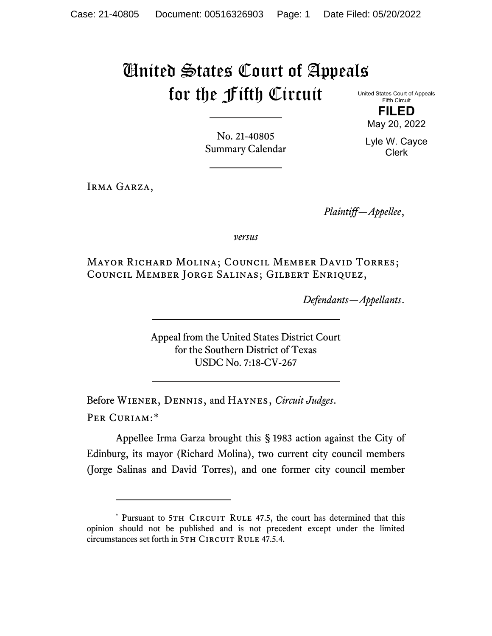## United States Court of Appeals for the Fifth Circuit

United States Court of Appeals Fifth Circuit **FILED**

May 20, 2022

Lyle W. Cayce Clerk

No. 21-40805 Summary Calendar

Irma Garza,

*Plaintiff—Appellee*,

*versus*

Mayor Richard Molina; Council Member David Torres; Council Member Jorge Salinas; Gilbert Enriquez,

*Defendants—Appellants*.

Appeal from the United States District Court for the Southern District of Texas USDC No. 7:18-CV-267

Before Wiener, Dennis, and Haynes, *Circuit Judges*. Per Curiam:[\\*](#page-0-0)

Appellee Irma Garza brought this § 1983 action against the City of Edinburg, its mayor (Richard Molina), two current city council members (Jorge Salinas and David Torres), and one former city council member

<span id="page-0-0"></span><sup>\*</sup> Pursuant to 5TH CIRCUIT RULE 47.5, the court has determined that this opinion should not be published and is not precedent except under the limited circumstances set forth in 5TH CIRCUIT RULE 47.5.4.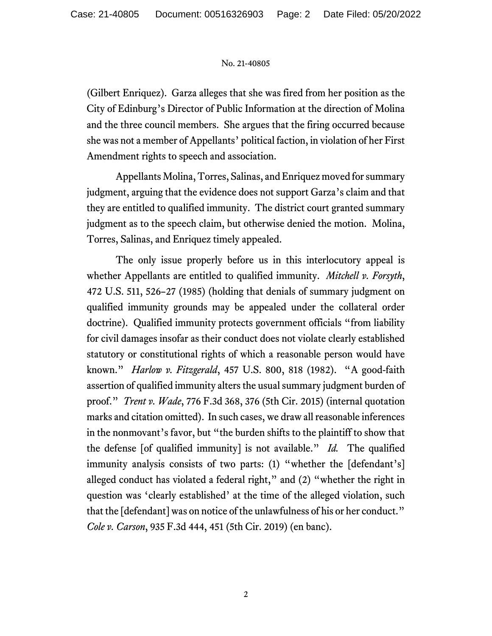## No. 21-40805

(Gilbert Enriquez). Garza alleges that she was fired from her position as the City of Edinburg's Director of Public Information at the direction of Molina and the three council members. She argues that the firing occurred because she was not a member of Appellants' political faction, in violation of her First Amendment rights to speech and association.

Appellants Molina, Torres, Salinas, and Enriquez moved for summary judgment, arguing that the evidence does not support Garza's claim and that they are entitled to qualified immunity. The district court granted summary judgment as to the speech claim, but otherwise denied the motion. Molina, Torres, Salinas, and Enriquez timely appealed.

The only issue properly before us in this interlocutory appeal is whether Appellants are entitled to qualified immunity. *Mitchell v. Forsyth*, 472 U.S. 511, 526–27 (1985) (holding that denials of summary judgment on qualified immunity grounds may be appealed under the collateral order doctrine). Qualified immunity protects government officials "from liability for civil damages insofar as their conduct does not violate clearly established statutory or constitutional rights of which a reasonable person would have known." *Harlow v. Fitzgerald*, 457 U.S. 800, 818 (1982). "A good-faith assertion of qualified immunity alters the usual summary judgment burden of proof." *Trent v. Wade*, 776 F.3d 368, 376 (5th Cir. 2015) (internal quotation marks and citation omitted). In such cases, we draw all reasonable inferences in the nonmovant's favor, but "the burden shifts to the plaintiff to show that the defense [of qualified immunity] is not available." *Id.* The qualified immunity analysis consists of two parts: (1) "whether the [defendant's] alleged conduct has violated a federal right," and (2) "whether the right in question was 'clearly established' at the time of the alleged violation, such that the [defendant] was on notice of the unlawfulness of his or her conduct." *Cole v. Carson*, 935 F.3d 444, 451 (5th Cir. 2019) (en banc).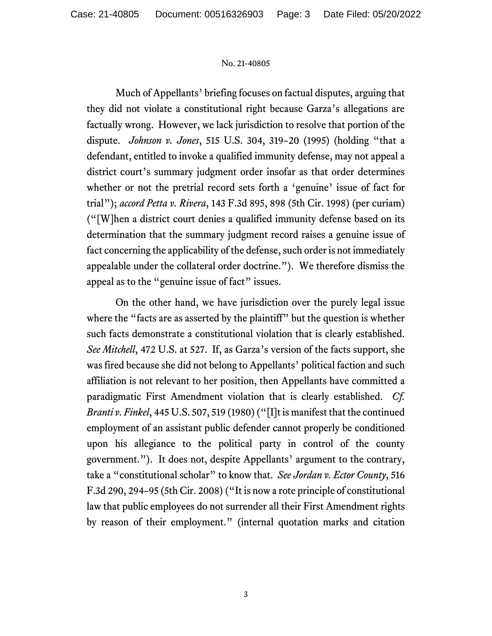## No. 21-40805

Much of Appellants' briefing focuses on factual disputes, arguing that they did not violate a constitutional right because Garza's allegations are factually wrong. However, we lack jurisdiction to resolve that portion of the dispute. *Johnson v. Jones*, 515 U.S. 304, 319–20 (1995) (holding "that a defendant, entitled to invoke a qualified immunity defense, may not appeal a district court's summary judgment order insofar as that order determines whether or not the pretrial record sets forth a 'genuine' issue of fact for trial"); *accord Petta v. Rivera*, 143 F.3d 895, 898 (5th Cir. 1998) (per curiam) ("[W]hen a district court denies a qualified immunity defense based on its determination that the summary judgment record raises a genuine issue of fact concerning the applicability of the defense, such order is not immediately appealable under the collateral order doctrine."). We therefore dismiss the appeal as to the "genuine issue of fact" issues.

On the other hand, we have jurisdiction over the purely legal issue where the "facts are as asserted by the plaintiff" but the question is whether such facts demonstrate a constitutional violation that is clearly established. *See Mitchell*, 472 U.S. at 527. If, as Garza's version of the facts support, she was fired because she did not belong to Appellants' political faction and such affiliation is not relevant to her position, then Appellants have committed a paradigmatic First Amendment violation that is clearly established. *Cf. Branti v. Finkel*, 445 U.S. 507, 519 (1980) ("[I]t is manifest that the continued employment of an assistant public defender cannot properly be conditioned upon his allegiance to the political party in control of the county government."). It does not, despite Appellants' argument to the contrary, take a "constitutional scholar" to know that. *See Jordan v. Ector County*, 516 F.3d 290, 294–95 (5th Cir. 2008) ("It is now a rote principle of constitutional law that public employees do not surrender all their First Amendment rights by reason of their employment." (internal quotation marks and citation